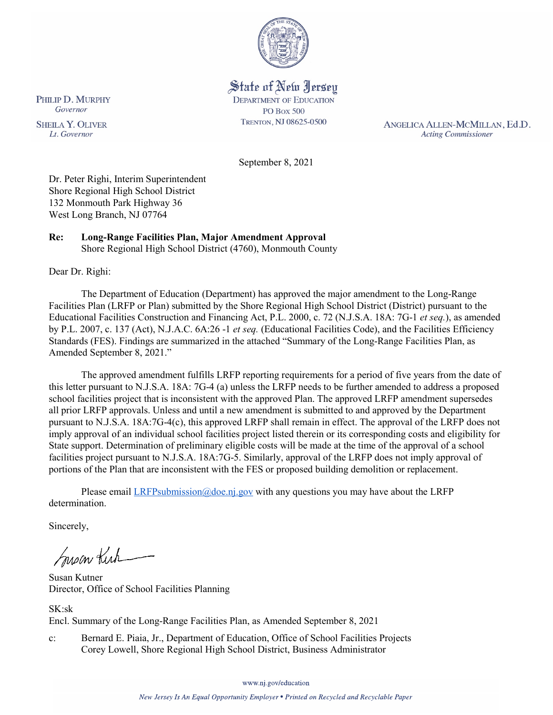

State of New Jersey **DEPARTMENT OF EDUCATION PO Box 500** TRENTON, NJ 08625-0500

ANGELICA ALLEN-MCMILLAN, Ed.D. **Acting Commissioner** 

September 8, 2021

Dr. Peter Righi, Interim Superintendent Shore Regional High School District 132 Monmouth Park Highway 36 West Long Branch, NJ 07764

#### **Re: Long-Range Facilities Plan, Major Amendment Approval**  Shore Regional High School District (4760), Monmouth County

Dear Dr. Righi:

The Department of Education (Department) has approved the major amendment to the Long-Range Facilities Plan (LRFP or Plan) submitted by the Shore Regional High School District (District) pursuant to the Educational Facilities Construction and Financing Act, P.L. 2000, c. 72 (N.J.S.A. 18A: 7G-1 *et seq.*), as amended by P.L. 2007, c. 137 (Act), N.J.A.C. 6A:26 -1 *et seq.* (Educational Facilities Code), and the Facilities Efficiency Standards (FES). Findings are summarized in the attached "Summary of the Long-Range Facilities Plan, as Amended September 8, 2021."

The approved amendment fulfills LRFP reporting requirements for a period of five years from the date of this letter pursuant to N.J.S.A. 18A: 7G-4 (a) unless the LRFP needs to be further amended to address a proposed school facilities project that is inconsistent with the approved Plan. The approved LRFP amendment supersedes all prior LRFP approvals. Unless and until a new amendment is submitted to and approved by the Department pursuant to N.J.S.A. 18A:7G-4(c), this approved LRFP shall remain in effect. The approval of the LRFP does not imply approval of an individual school facilities project listed therein or its corresponding costs and eligibility for State support. Determination of preliminary eligible costs will be made at the time of the approval of a school facilities project pursuant to N.J.S.A. 18A:7G-5. Similarly, approval of the LRFP does not imply approval of portions of the Plan that are inconsistent with the FES or proposed building demolition or replacement.

Please email  $LRFP submission@doe.nj.gov$  with any questions you may have about the LRFP determination.

Sincerely,

Susan Kich

Susan Kutner Director, Office of School Facilities Planning

SK:sk

Encl. Summary of the Long-Range Facilities Plan, as Amended September 8, 2021

c: Bernard E. Piaia, Jr., Department of Education, Office of School Facilities Projects Corey Lowell, Shore Regional High School District, Business Administrator

www.nj.gov/education

PHILIP D. MURPHY Governor

**SHEILA Y. OLIVER** Lt. Governor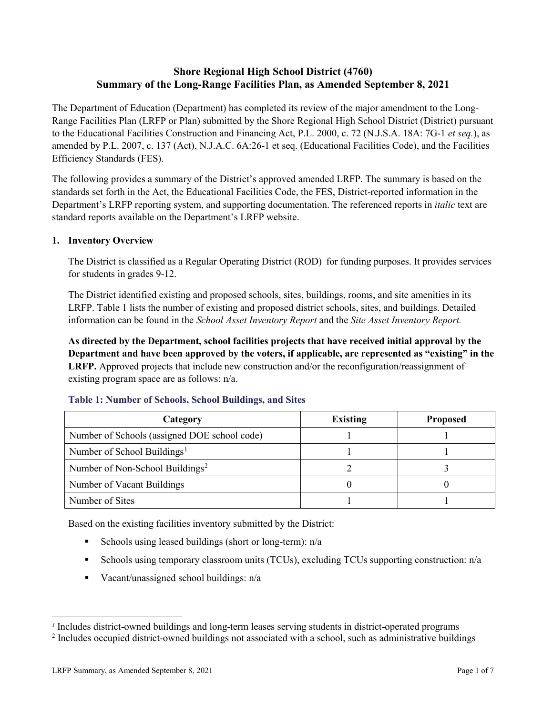## **Shore Regional High School District (4760) Summary of the Long-Range Facilities Plan, as Amended September 8, 2021**

The Department of Education (Department) has completed its review of the major amendment to the Long-Range Facilities Plan (LRFP or Plan) submitted by the Shore Regional High School District (District) pursuant to the Educational Facilities Construction and Financing Act, P.L. 2000, c. 72 (N.J.S.A. 18A: 7G-1 *et seq.*), as amended by P.L. 2007, c. 137 (Act), N.J.A.C. 6A:26-1 et seq. (Educational Facilities Code), and the Facilities Efficiency Standards (FES).

The following provides a summary of the District's approved amended LRFP. The summary is based on the standards set forth in the Act, the Educational Facilities Code, the FES, District-reported information in the Department's LRFP reporting system, and supporting documentation. The referenced reports in *italic* text are standard reports available on the Department's LRFP website.

## **1. Inventory Overview**

The District is classified as a Regular Operating District (ROD) for funding purposes. It provides services for students in grades 9-12.

The District identified existing and proposed schools, sites, buildings, rooms, and site amenities in its LRFP. Table 1 lists the number of existing and proposed district schools, sites, and buildings. Detailed information can be found in the *School Asset Inventory Report* and the *Site Asset Inventory Report.*

**As directed by the Department, school facilities projects that have received initial approval by the Department and have been approved by the voters, if applicable, are represented as "existing" in the LRFP.** Approved projects that include new construction and/or the reconfiguration/reassignment of existing program space are as follows: n/a.

| Category                                     | <b>Existing</b> | <b>Proposed</b> |
|----------------------------------------------|-----------------|-----------------|
| Number of Schools (assigned DOE school code) |                 |                 |
| Number of School Buildings <sup>1</sup>      |                 |                 |
| Number of Non-School Buildings <sup>2</sup>  |                 |                 |
| Number of Vacant Buildings                   |                 |                 |
| Number of Sites                              |                 |                 |

#### **Table 1: Number of Schools, School Buildings, and Sites**

Based on the existing facilities inventory submitted by the District:

- Schools using leased buildings (short or long-term):  $n/a$
- Schools using temporary classroom units (TCUs), excluding TCUs supporting construction: n/a
- Vacant/unassigned school buildings:  $n/a$

 $\overline{a}$ 

<span id="page-1-1"></span><span id="page-1-0"></span>*<sup>1</sup>* Includes district-owned buildings and long-term leases serving students in district-operated programs

<sup>&</sup>lt;sup>2</sup> Includes occupied district-owned buildings not associated with a school, such as administrative buildings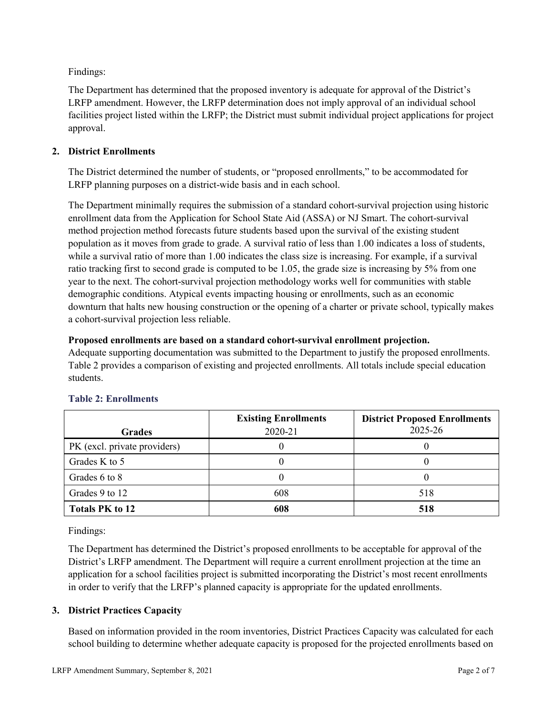Findings:

The Department has determined that the proposed inventory is adequate for approval of the District's LRFP amendment. However, the LRFP determination does not imply approval of an individual school facilities project listed within the LRFP; the District must submit individual project applications for project approval.

## **2. District Enrollments**

The District determined the number of students, or "proposed enrollments," to be accommodated for LRFP planning purposes on a district-wide basis and in each school.

The Department minimally requires the submission of a standard cohort-survival projection using historic enrollment data from the Application for School State Aid (ASSA) or NJ Smart. The cohort-survival method projection method forecasts future students based upon the survival of the existing student population as it moves from grade to grade. A survival ratio of less than 1.00 indicates a loss of students, while a survival ratio of more than 1.00 indicates the class size is increasing. For example, if a survival ratio tracking first to second grade is computed to be 1.05, the grade size is increasing by 5% from one year to the next. The cohort-survival projection methodology works well for communities with stable demographic conditions. Atypical events impacting housing or enrollments, such as an economic downturn that halts new housing construction or the opening of a charter or private school, typically makes a cohort-survival projection less reliable.

## **Proposed enrollments are based on a standard cohort-survival enrollment projection.**

Adequate supporting documentation was submitted to the Department to justify the proposed enrollments. Table 2 provides a comparison of existing and projected enrollments. All totals include special education students.

|                              | <b>Existing Enrollments</b> | <b>District Proposed Enrollments</b> |
|------------------------------|-----------------------------|--------------------------------------|
| <b>Grades</b>                | 2020-21                     | 2025-26                              |
| PK (excl. private providers) |                             |                                      |
| Grades K to 5                |                             |                                      |
| Grades 6 to 8                |                             |                                      |
| Grades 9 to 12               | 608                         | 518                                  |
| <b>Totals PK to 12</b>       | 608                         | 518                                  |

# **Table 2: Enrollments**

Findings:

The Department has determined the District's proposed enrollments to be acceptable for approval of the District's LRFP amendment. The Department will require a current enrollment projection at the time an application for a school facilities project is submitted incorporating the District's most recent enrollments in order to verify that the LRFP's planned capacity is appropriate for the updated enrollments.

# **3. District Practices Capacity**

Based on information provided in the room inventories, District Practices Capacity was calculated for each school building to determine whether adequate capacity is proposed for the projected enrollments based on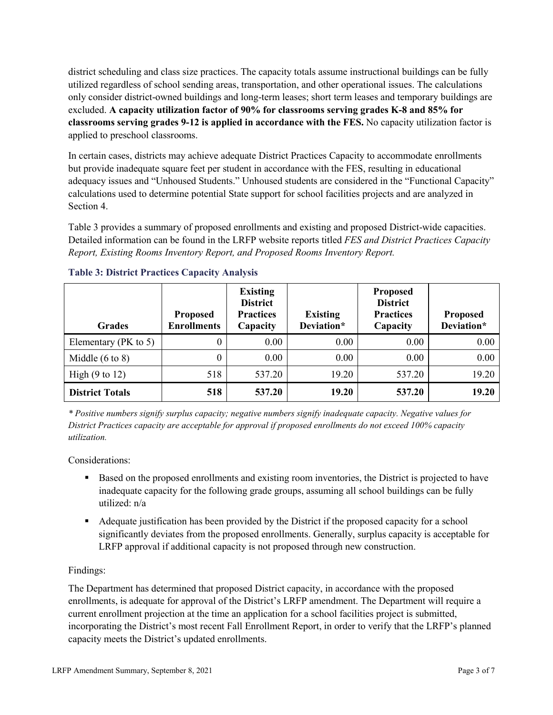district scheduling and class size practices. The capacity totals assume instructional buildings can be fully utilized regardless of school sending areas, transportation, and other operational issues. The calculations only consider district-owned buildings and long-term leases; short term leases and temporary buildings are excluded. **A capacity utilization factor of 90% for classrooms serving grades K-8 and 85% for classrooms serving grades 9-12 is applied in accordance with the FES.** No capacity utilization factor is applied to preschool classrooms.

In certain cases, districts may achieve adequate District Practices Capacity to accommodate enrollments but provide inadequate square feet per student in accordance with the FES, resulting in educational adequacy issues and "Unhoused Students." Unhoused students are considered in the "Functional Capacity" calculations used to determine potential State support for school facilities projects and are analyzed in Section 4.

Table 3 provides a summary of proposed enrollments and existing and proposed District-wide capacities. Detailed information can be found in the LRFP website reports titled *FES and District Practices Capacity Report, Existing Rooms Inventory Report, and Proposed Rooms Inventory Report.*

| <b>Grades</b>              | <b>Proposed</b><br><b>Enrollments</b> | <b>Existing</b><br><b>District</b><br><b>Practices</b><br>Capacity | <b>Existing</b><br>Deviation* | <b>Proposed</b><br><b>District</b><br><b>Practices</b><br>Capacity | <b>Proposed</b><br>Deviation* |
|----------------------------|---------------------------------------|--------------------------------------------------------------------|-------------------------------|--------------------------------------------------------------------|-------------------------------|
| Elementary ( $PK$ to 5)    | 0                                     | 0.00                                                               | 0.00                          | 0.00                                                               | 0.00                          |
| Middle $(6 \text{ to } 8)$ | 0                                     | 0.00                                                               | 0.00                          | 0.00                                                               | 0.00                          |
| High $(9 \text{ to } 12)$  | 518                                   | 537.20                                                             | 19.20                         | 537.20                                                             | 19.20                         |
| <b>District Totals</b>     | 518                                   | 537.20                                                             | 19.20                         | 537.20                                                             | 19.20                         |

## **Table 3: District Practices Capacity Analysis**

*\* Positive numbers signify surplus capacity; negative numbers signify inadequate capacity. Negative values for District Practices capacity are acceptable for approval if proposed enrollments do not exceed 100% capacity utilization.*

Considerations:

- Based on the proposed enrollments and existing room inventories, the District is projected to have inadequate capacity for the following grade groups, assuming all school buildings can be fully utilized: n/a
- Adequate justification has been provided by the District if the proposed capacity for a school significantly deviates from the proposed enrollments. Generally, surplus capacity is acceptable for LRFP approval if additional capacity is not proposed through new construction.

## Findings:

The Department has determined that proposed District capacity, in accordance with the proposed enrollments, is adequate for approval of the District's LRFP amendment. The Department will require a current enrollment projection at the time an application for a school facilities project is submitted, incorporating the District's most recent Fall Enrollment Report, in order to verify that the LRFP's planned capacity meets the District's updated enrollments.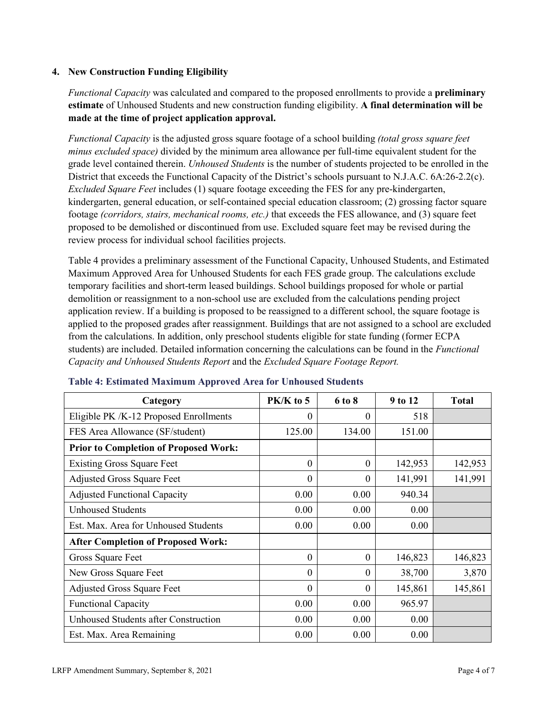#### **4. New Construction Funding Eligibility**

*Functional Capacity* was calculated and compared to the proposed enrollments to provide a **preliminary estimate** of Unhoused Students and new construction funding eligibility. **A final determination will be made at the time of project application approval.**

*Functional Capacity* is the adjusted gross square footage of a school building *(total gross square feet minus excluded space)* divided by the minimum area allowance per full-time equivalent student for the grade level contained therein. *Unhoused Students* is the number of students projected to be enrolled in the District that exceeds the Functional Capacity of the District's schools pursuant to N.J.A.C. 6A:26-2.2(c). *Excluded Square Feet* includes (1) square footage exceeding the FES for any pre-kindergarten, kindergarten, general education, or self-contained special education classroom; (2) grossing factor square footage *(corridors, stairs, mechanical rooms, etc.)* that exceeds the FES allowance, and (3) square feet proposed to be demolished or discontinued from use. Excluded square feet may be revised during the review process for individual school facilities projects.

Table 4 provides a preliminary assessment of the Functional Capacity, Unhoused Students, and Estimated Maximum Approved Area for Unhoused Students for each FES grade group. The calculations exclude temporary facilities and short-term leased buildings. School buildings proposed for whole or partial demolition or reassignment to a non-school use are excluded from the calculations pending project application review. If a building is proposed to be reassigned to a different school, the square footage is applied to the proposed grades after reassignment. Buildings that are not assigned to a school are excluded from the calculations. In addition, only preschool students eligible for state funding (former ECPA students) are included. Detailed information concerning the calculations can be found in the *Functional Capacity and Unhoused Students Report* and the *Excluded Square Footage Report.*

| Category                                     | PK/K to 5 | 6 to 8   | 9 to 12 | <b>Total</b> |
|----------------------------------------------|-----------|----------|---------|--------------|
| Eligible PK /K-12 Proposed Enrollments       | $\theta$  | $\theta$ | 518     |              |
| FES Area Allowance (SF/student)              | 125.00    | 134.00   | 151.00  |              |
| <b>Prior to Completion of Proposed Work:</b> |           |          |         |              |
| <b>Existing Gross Square Feet</b>            | $\theta$  | $\theta$ | 142,953 | 142,953      |
| <b>Adjusted Gross Square Feet</b>            | $\theta$  | $\theta$ | 141,991 | 141,991      |
| <b>Adjusted Functional Capacity</b>          | 0.00      | 0.00     | 940.34  |              |
| <b>Unhoused Students</b>                     | 0.00      | 0.00     | 0.00    |              |
| Est. Max. Area for Unhoused Students         | 0.00      | 0.00     | 0.00    |              |
| <b>After Completion of Proposed Work:</b>    |           |          |         |              |
| Gross Square Feet                            | $\theta$  | $\theta$ | 146,823 | 146,823      |
| New Gross Square Feet                        | $\theta$  | $\theta$ | 38,700  | 3,870        |
| <b>Adjusted Gross Square Feet</b>            | $\Omega$  | $\Omega$ | 145,861 | 145,861      |
| <b>Functional Capacity</b>                   | 0.00      | 0.00     | 965.97  |              |
| <b>Unhoused Students after Construction</b>  | 0.00      | 0.00     | 0.00    |              |
| Est. Max. Area Remaining                     | 0.00      | 0.00     | 0.00    |              |

#### **Table 4: Estimated Maximum Approved Area for Unhoused Students**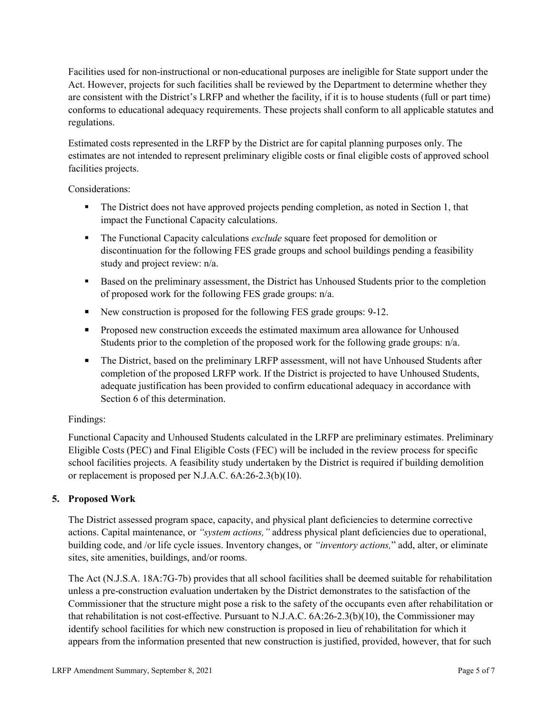Facilities used for non-instructional or non-educational purposes are ineligible for State support under the Act. However, projects for such facilities shall be reviewed by the Department to determine whether they are consistent with the District's LRFP and whether the facility, if it is to house students (full or part time) conforms to educational adequacy requirements. These projects shall conform to all applicable statutes and regulations.

Estimated costs represented in the LRFP by the District are for capital planning purposes only. The estimates are not intended to represent preliminary eligible costs or final eligible costs of approved school facilities projects.

Considerations:

- The District does not have approved projects pending completion, as noted in Section 1, that impact the Functional Capacity calculations.
- **The Functional Capacity calculations** *exclude* square feet proposed for demolition or discontinuation for the following FES grade groups and school buildings pending a feasibility study and project review: n/a.
- Based on the preliminary assessment, the District has Unhoused Students prior to the completion of proposed work for the following FES grade groups: n/a.
- New construction is proposed for the following FES grade groups: 9-12.
- Proposed new construction exceeds the estimated maximum area allowance for Unhoused Students prior to the completion of the proposed work for the following grade groups: n/a.
- The District, based on the preliminary LRFP assessment, will not have Unhoused Students after completion of the proposed LRFP work. If the District is projected to have Unhoused Students, adequate justification has been provided to confirm educational adequacy in accordance with Section 6 of this determination.

## Findings:

Functional Capacity and Unhoused Students calculated in the LRFP are preliminary estimates. Preliminary Eligible Costs (PEC) and Final Eligible Costs (FEC) will be included in the review process for specific school facilities projects. A feasibility study undertaken by the District is required if building demolition or replacement is proposed per N.J.A.C. 6A:26-2.3(b)(10).

## **5. Proposed Work**

The District assessed program space, capacity, and physical plant deficiencies to determine corrective actions. Capital maintenance, or *"system actions,"* address physical plant deficiencies due to operational, building code, and /or life cycle issues. Inventory changes, or *"inventory actions,*" add, alter, or eliminate sites, site amenities, buildings, and/or rooms.

The Act (N.J.S.A. 18A:7G-7b) provides that all school facilities shall be deemed suitable for rehabilitation unless a pre-construction evaluation undertaken by the District demonstrates to the satisfaction of the Commissioner that the structure might pose a risk to the safety of the occupants even after rehabilitation or that rehabilitation is not cost-effective. Pursuant to N.J.A.C. 6A:26-2.3(b)(10), the Commissioner may identify school facilities for which new construction is proposed in lieu of rehabilitation for which it appears from the information presented that new construction is justified, provided, however, that for such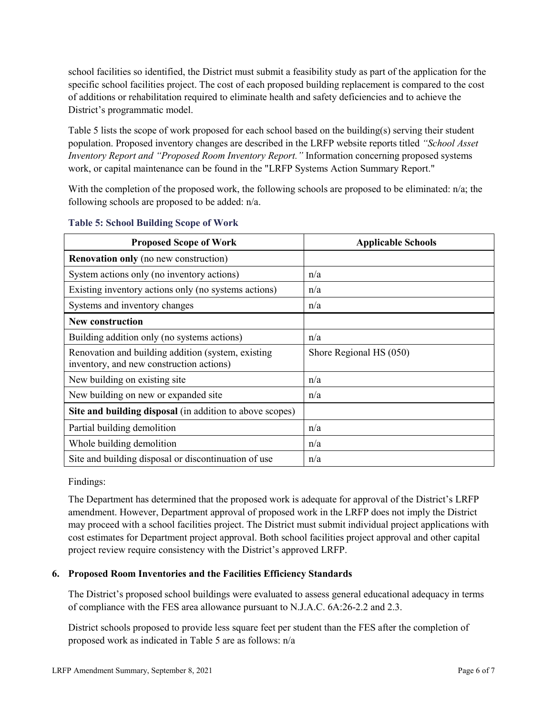school facilities so identified, the District must submit a feasibility study as part of the application for the specific school facilities project. The cost of each proposed building replacement is compared to the cost of additions or rehabilitation required to eliminate health and safety deficiencies and to achieve the District's programmatic model.

Table 5 lists the scope of work proposed for each school based on the building(s) serving their student population. Proposed inventory changes are described in the LRFP website reports titled *"School Asset Inventory Report and "Proposed Room Inventory Report."* Information concerning proposed systems work, or capital maintenance can be found in the "LRFP Systems Action Summary Report."

With the completion of the proposed work, the following schools are proposed to be eliminated: n/a; the following schools are proposed to be added: n/a.

| <b>Proposed Scope of Work</b>                                                                  | <b>Applicable Schools</b> |
|------------------------------------------------------------------------------------------------|---------------------------|
| <b>Renovation only</b> (no new construction)                                                   |                           |
| System actions only (no inventory actions)                                                     | n/a                       |
| Existing inventory actions only (no systems actions)                                           | n/a                       |
| Systems and inventory changes                                                                  | n/a                       |
| <b>New construction</b>                                                                        |                           |
| Building addition only (no systems actions)                                                    | n/a                       |
| Renovation and building addition (system, existing<br>inventory, and new construction actions) | Shore Regional HS (050)   |
| New building on existing site                                                                  | n/a                       |
| New building on new or expanded site                                                           | n/a                       |
| Site and building disposal (in addition to above scopes)                                       |                           |
| Partial building demolition                                                                    | n/a                       |
| Whole building demolition                                                                      | n/a                       |
| Site and building disposal or discontinuation of use                                           | n/a                       |

#### **Table 5: School Building Scope of Work**

Findings:

The Department has determined that the proposed work is adequate for approval of the District's LRFP amendment. However, Department approval of proposed work in the LRFP does not imply the District may proceed with a school facilities project. The District must submit individual project applications with cost estimates for Department project approval. Both school facilities project approval and other capital project review require consistency with the District's approved LRFP.

## **6. Proposed Room Inventories and the Facilities Efficiency Standards**

The District's proposed school buildings were evaluated to assess general educational adequacy in terms of compliance with the FES area allowance pursuant to N.J.A.C. 6A:26-2.2 and 2.3.

District schools proposed to provide less square feet per student than the FES after the completion of proposed work as indicated in Table 5 are as follows: n/a